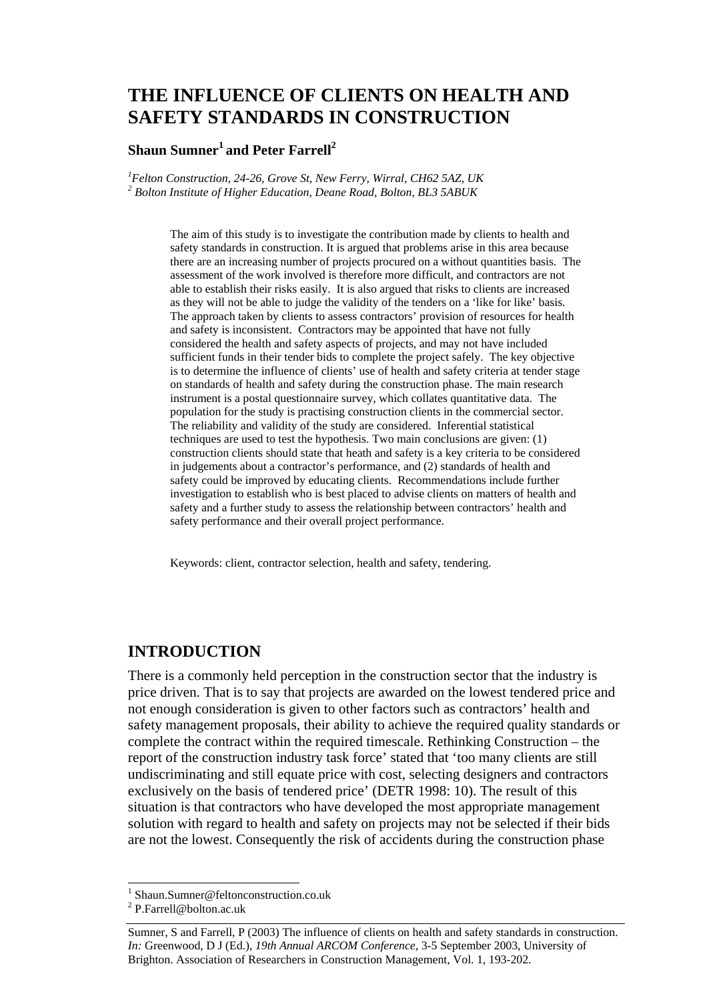# **THE INFLUENCE OF CLIENTS ON HEALTH AND SAFETY STANDARDS IN CONSTRUCTION**

#### **Shaun Sumner<sup>1</sup> and Peter Farrell<sup>2</sup>**

*1 Felton Construction, 24-26, Grove St, New Ferry, Wirral, CH62 5AZ, UK 2 Bolton Institute of Higher Education, Deane Road, Bolton, BL3 5ABUK* 

> The aim of this study is to investigate the contribution made by clients to health and safety standards in construction. It is argued that problems arise in this area because there are an increasing number of projects procured on a without quantities basis. The assessment of the work involved is therefore more difficult, and contractors are not able to establish their risks easily. It is also argued that risks to clients are increased as they will not be able to judge the validity of the tenders on a 'like for like' basis. The approach taken by clients to assess contractors' provision of resources for health and safety is inconsistent. Contractors may be appointed that have not fully considered the health and safety aspects of projects, and may not have included sufficient funds in their tender bids to complete the project safely. The key objective is to determine the influence of clients' use of health and safety criteria at tender stage on standards of health and safety during the construction phase. The main research instrument is a postal questionnaire survey, which collates quantitative data. The population for the study is practising construction clients in the commercial sector. The reliability and validity of the study are considered. Inferential statistical techniques are used to test the hypothesis. Two main conclusions are given: (1) construction clients should state that heath and safety is a key criteria to be considered in judgements about a contractor's performance, and (2) standards of health and safety could be improved by educating clients. Recommendations include further investigation to establish who is best placed to advise clients on matters of health and safety and a further study to assess the relationship between contractors' health and safety performance and their overall project performance.

Keywords: client, contractor selection, health and safety, tendering.

#### **INTRODUCTION**

There is a commonly held perception in the construction sector that the industry is price driven. That is to say that projects are awarded on the lowest tendered price and not enough consideration is given to other factors such as contractors' health and safety management proposals, their ability to achieve the required quality standards or complete the contract within the required timescale. Rethinking Construction – the report of the construction industry task force' stated that 'too many clients are still undiscriminating and still equate price with cost, selecting designers and contractors exclusively on the basis of tendered price' (DETR 1998: 10). The result of this situation is that contractors who have developed the most appropriate management solution with regard to health and safety on projects may not be selected if their bids are not the lowest. Consequently the risk of accidents during the construction phase

l

<sup>1</sup> Shaun.Sumner@feltonconstruction.co.uk

<sup>&</sup>lt;sup>2</sup> P.Farrell@bolton.ac.uk

Sumner, S and Farrell, P (2003) The influence of clients on health and safety standards in construction. *In:* Greenwood, D J (Ed.), *19th Annual ARCOM Conference*, 3-5 September 2003, University of Brighton. Association of Researchers in Construction Management, Vol. 1, 193-202.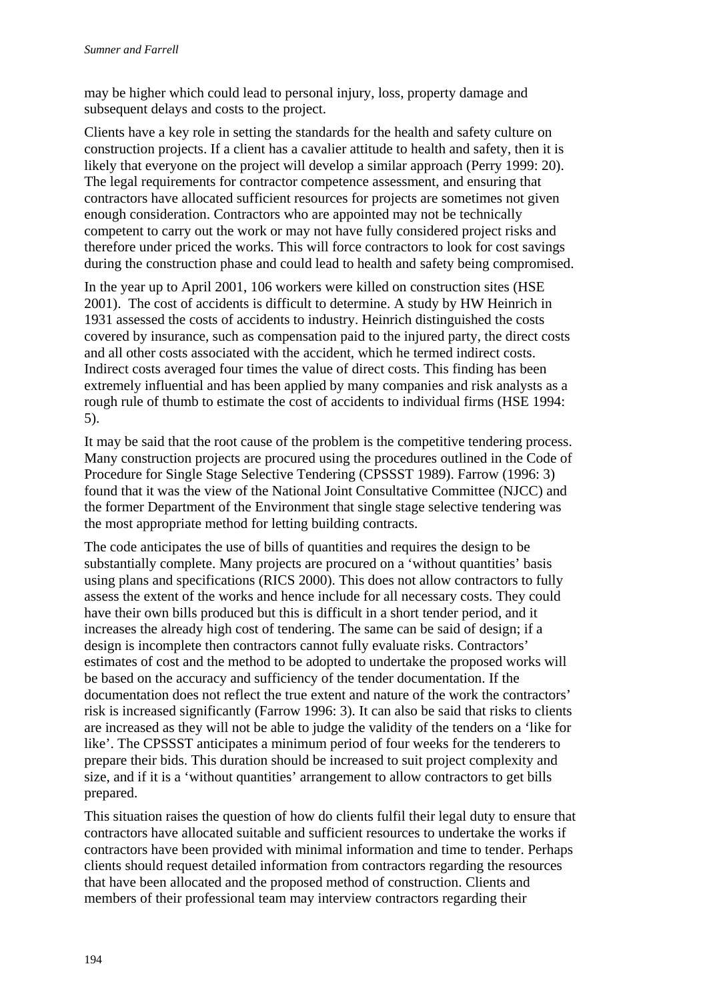may be higher which could lead to personal injury, loss, property damage and subsequent delays and costs to the project.

Clients have a key role in setting the standards for the health and safety culture on construction projects. If a client has a cavalier attitude to health and safety, then it is likely that everyone on the project will develop a similar approach (Perry 1999: 20). The legal requirements for contractor competence assessment, and ensuring that contractors have allocated sufficient resources for projects are sometimes not given enough consideration. Contractors who are appointed may not be technically competent to carry out the work or may not have fully considered project risks and therefore under priced the works. This will force contractors to look for cost savings during the construction phase and could lead to health and safety being compromised.

In the year up to April 2001, 106 workers were killed on construction sites (HSE 2001). The cost of accidents is difficult to determine. A study by HW Heinrich in 1931 assessed the costs of accidents to industry. Heinrich distinguished the costs covered by insurance, such as compensation paid to the injured party, the direct costs and all other costs associated with the accident, which he termed indirect costs. Indirect costs averaged four times the value of direct costs. This finding has been extremely influential and has been applied by many companies and risk analysts as a rough rule of thumb to estimate the cost of accidents to individual firms (HSE 1994: 5).

It may be said that the root cause of the problem is the competitive tendering process. Many construction projects are procured using the procedures outlined in the Code of Procedure for Single Stage Selective Tendering (CPSSST 1989). Farrow (1996: 3) found that it was the view of the National Joint Consultative Committee (NJCC) and the former Department of the Environment that single stage selective tendering was the most appropriate method for letting building contracts.

The code anticipates the use of bills of quantities and requires the design to be substantially complete. Many projects are procured on a 'without quantities' basis using plans and specifications (RICS 2000). This does not allow contractors to fully assess the extent of the works and hence include for all necessary costs. They could have their own bills produced but this is difficult in a short tender period, and it increases the already high cost of tendering. The same can be said of design; if a design is incomplete then contractors cannot fully evaluate risks. Contractors' estimates of cost and the method to be adopted to undertake the proposed works will be based on the accuracy and sufficiency of the tender documentation. If the documentation does not reflect the true extent and nature of the work the contractors' risk is increased significantly (Farrow 1996: 3). It can also be said that risks to clients are increased as they will not be able to judge the validity of the tenders on a 'like for like'. The CPSSST anticipates a minimum period of four weeks for the tenderers to prepare their bids. This duration should be increased to suit project complexity and size, and if it is a 'without quantities' arrangement to allow contractors to get bills prepared.

This situation raises the question of how do clients fulfil their legal duty to ensure that contractors have allocated suitable and sufficient resources to undertake the works if contractors have been provided with minimal information and time to tender. Perhaps clients should request detailed information from contractors regarding the resources that have been allocated and the proposed method of construction. Clients and members of their professional team may interview contractors regarding their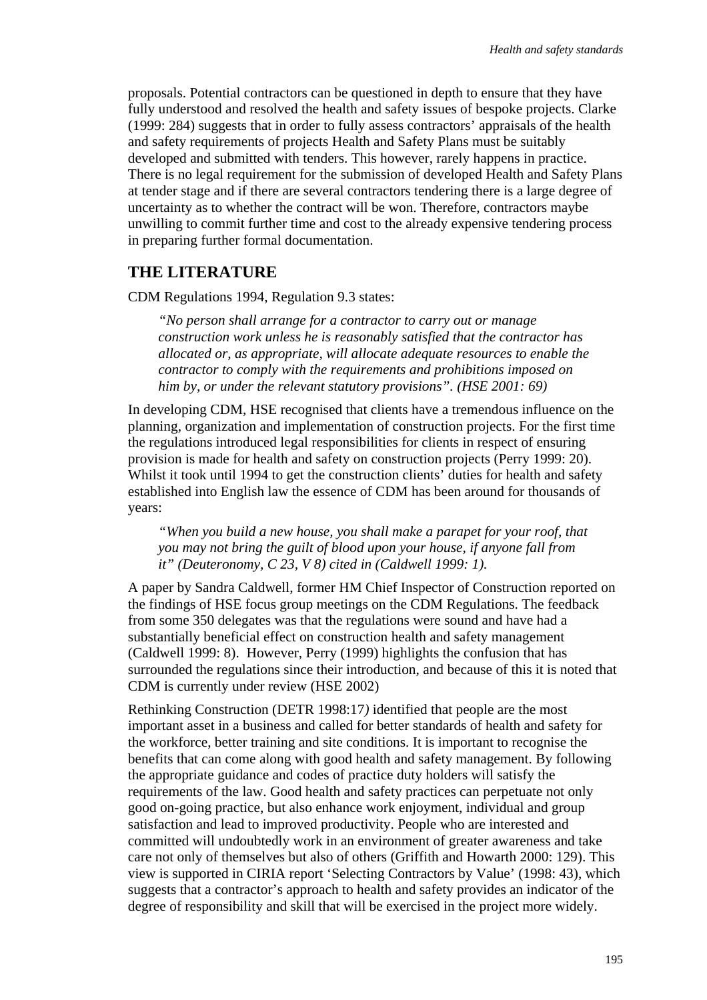proposals. Potential contractors can be questioned in depth to ensure that they have fully understood and resolved the health and safety issues of bespoke projects. Clarke (1999: 284) suggests that in order to fully assess contractors' appraisals of the health and safety requirements of projects Health and Safety Plans must be suitably developed and submitted with tenders. This however, rarely happens in practice. There is no legal requirement for the submission of developed Health and Safety Plans at tender stage and if there are several contractors tendering there is a large degree of uncertainty as to whether the contract will be won. Therefore, contractors maybe unwilling to commit further time and cost to the already expensive tendering process in preparing further formal documentation.

### **THE LITERATURE**

CDM Regulations 1994, Regulation 9.3 states:

*"No person shall arrange for a contractor to carry out or manage construction work unless he is reasonably satisfied that the contractor has allocated or, as appropriate, will allocate adequate resources to enable the contractor to comply with the requirements and prohibitions imposed on him by, or under the relevant statutory provisions". (HSE 2001: 69)* 

In developing CDM, HSE recognised that clients have a tremendous influence on the planning, organization and implementation of construction projects. For the first time the regulations introduced legal responsibilities for clients in respect of ensuring provision is made for health and safety on construction projects (Perry 1999: 20). Whilst it took until 1994 to get the construction clients' duties for health and safety established into English law the essence of CDM has been around for thousands of years:

*"When you build a new house, you shall make a parapet for your roof, that you may not bring the guilt of blood upon your house, if anyone fall from it" (Deuteronomy, C 23, V 8) cited in (Caldwell 1999: 1).* 

A paper by Sandra Caldwell, former HM Chief Inspector of Construction reported on the findings of HSE focus group meetings on the CDM Regulations. The feedback from some 350 delegates was that the regulations were sound and have had a substantially beneficial effect on construction health and safety management (Caldwell 1999: 8). However, Perry (1999) highlights the confusion that has surrounded the regulations since their introduction, and because of this it is noted that CDM is currently under review (HSE 2002)

Rethinking Construction (DETR 1998:17*)* identified that people are the most important asset in a business and called for better standards of health and safety for the workforce, better training and site conditions. It is important to recognise the benefits that can come along with good health and safety management. By following the appropriate guidance and codes of practice duty holders will satisfy the requirements of the law. Good health and safety practices can perpetuate not only good on-going practice, but also enhance work enjoyment, individual and group satisfaction and lead to improved productivity. People who are interested and committed will undoubtedly work in an environment of greater awareness and take care not only of themselves but also of others (Griffith and Howarth 2000: 129). This view is supported in CIRIA report 'Selecting Contractors by Value' (1998: 43), which suggests that a contractor's approach to health and safety provides an indicator of the degree of responsibility and skill that will be exercised in the project more widely.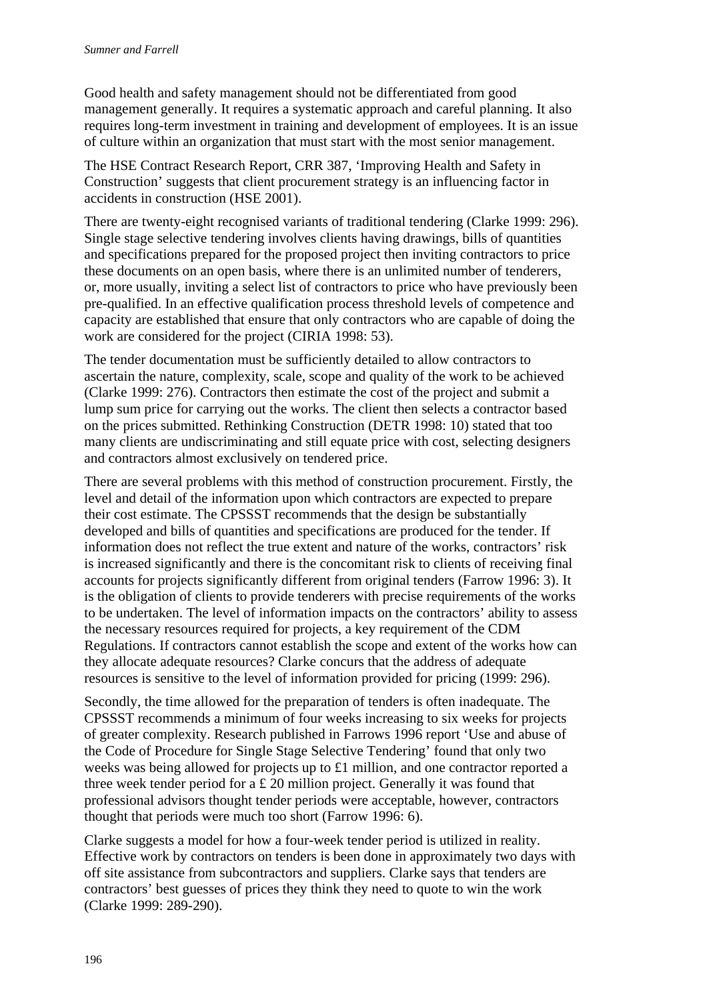Good health and safety management should not be differentiated from good management generally. It requires a systematic approach and careful planning. It also requires long-term investment in training and development of employees. It is an issue of culture within an organization that must start with the most senior management.

The HSE Contract Research Report, CRR 387, 'Improving Health and Safety in Construction' suggests that client procurement strategy is an influencing factor in accidents in construction (HSE 2001).

There are twenty-eight recognised variants of traditional tendering (Clarke 1999: 296). Single stage selective tendering involves clients having drawings, bills of quantities and specifications prepared for the proposed project then inviting contractors to price these documents on an open basis, where there is an unlimited number of tenderers, or, more usually, inviting a select list of contractors to price who have previously been pre-qualified. In an effective qualification process threshold levels of competence and capacity are established that ensure that only contractors who are capable of doing the work are considered for the project (CIRIA 1998: 53).

The tender documentation must be sufficiently detailed to allow contractors to ascertain the nature, complexity, scale, scope and quality of the work to be achieved (Clarke 1999: 276). Contractors then estimate the cost of the project and submit a lump sum price for carrying out the works. The client then selects a contractor based on the prices submitted. Rethinking Construction (DETR 1998: 10) stated that too many clients are undiscriminating and still equate price with cost, selecting designers and contractors almost exclusively on tendered price.

There are several problems with this method of construction procurement. Firstly, the level and detail of the information upon which contractors are expected to prepare their cost estimate. The CPSSST recommends that the design be substantially developed and bills of quantities and specifications are produced for the tender. If information does not reflect the true extent and nature of the works, contractors' risk is increased significantly and there is the concomitant risk to clients of receiving final accounts for projects significantly different from original tenders (Farrow 1996: 3). It is the obligation of clients to provide tenderers with precise requirements of the works to be undertaken. The level of information impacts on the contractors' ability to assess the necessary resources required for projects, a key requirement of the CDM Regulations. If contractors cannot establish the scope and extent of the works how can they allocate adequate resources? Clarke concurs that the address of adequate resources is sensitive to the level of information provided for pricing (1999: 296).

Secondly, the time allowed for the preparation of tenders is often inadequate. The CPSSST recommends a minimum of four weeks increasing to six weeks for projects of greater complexity. Research published in Farrows 1996 report 'Use and abuse of the Code of Procedure for Single Stage Selective Tendering' found that only two weeks was being allowed for projects up to £1 million, and one contractor reported a three week tender period for a £ 20 million project. Generally it was found that professional advisors thought tender periods were acceptable, however, contractors thought that periods were much too short (Farrow 1996: 6).

Clarke suggests a model for how a four-week tender period is utilized in reality. Effective work by contractors on tenders is been done in approximately two days with off site assistance from subcontractors and suppliers. Clarke says that tenders are contractors' best guesses of prices they think they need to quote to win the work (Clarke 1999: 289-290).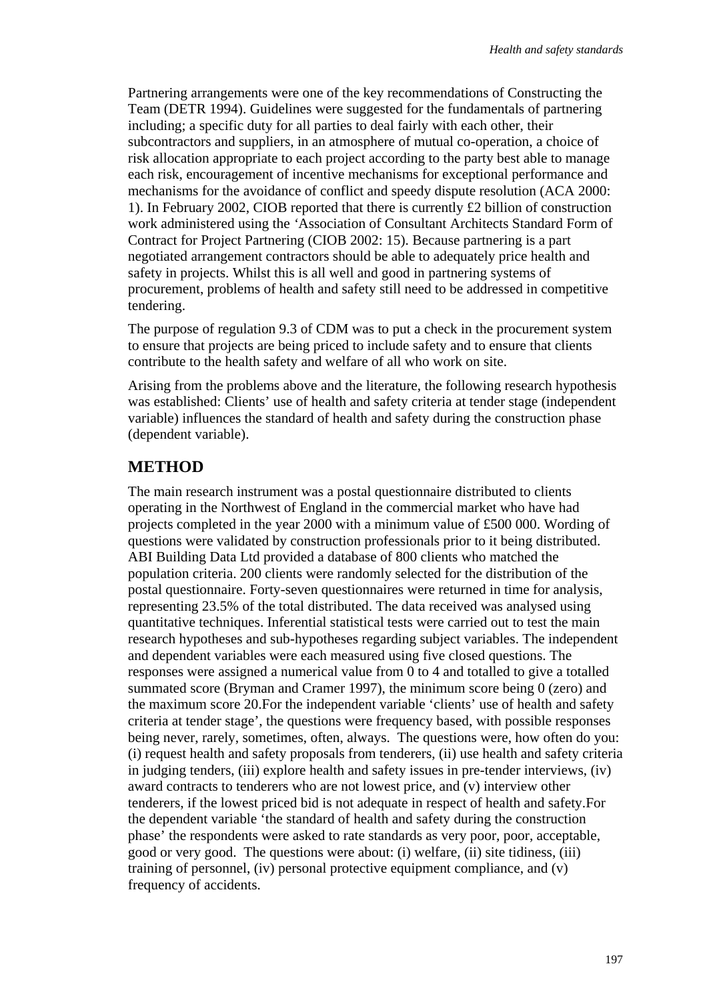Partnering arrangements were one of the key recommendations of Constructing the Team (DETR 1994). Guidelines were suggested for the fundamentals of partnering including; a specific duty for all parties to deal fairly with each other, their subcontractors and suppliers, in an atmosphere of mutual co-operation, a choice of risk allocation appropriate to each project according to the party best able to manage each risk, encouragement of incentive mechanisms for exceptional performance and mechanisms for the avoidance of conflict and speedy dispute resolution (ACA 2000: 1). In February 2002, CIOB reported that there is currently £2 billion of construction work administered using the *'*Association of Consultant Architects Standard Form of Contract for Project Partnering (CIOB 2002: 15). Because partnering is a part negotiated arrangement contractors should be able to adequately price health and safety in projects. Whilst this is all well and good in partnering systems of procurement, problems of health and safety still need to be addressed in competitive tendering.

The purpose of regulation 9.3 of CDM was to put a check in the procurement system to ensure that projects are being priced to include safety and to ensure that clients contribute to the health safety and welfare of all who work on site.

Arising from the problems above and the literature, the following research hypothesis was established: Clients' use of health and safety criteria at tender stage (independent variable) influences the standard of health and safety during the construction phase (dependent variable).

## **METHOD**

The main research instrument was a postal questionnaire distributed to clients operating in the Northwest of England in the commercial market who have had projects completed in the year 2000 with a minimum value of £500 000. Wording of questions were validated by construction professionals prior to it being distributed. ABI Building Data Ltd provided a database of 800 clients who matched the population criteria. 200 clients were randomly selected for the distribution of the postal questionnaire. Forty-seven questionnaires were returned in time for analysis, representing 23.5% of the total distributed. The data received was analysed using quantitative techniques. Inferential statistical tests were carried out to test the main research hypotheses and sub-hypotheses regarding subject variables. The independent and dependent variables were each measured using five closed questions. The responses were assigned a numerical value from 0 to 4 and totalled to give a totalled summated score (Bryman and Cramer 1997), the minimum score being 0 (zero) and the maximum score 20.For the independent variable 'clients' use of health and safety criteria at tender stage', the questions were frequency based, with possible responses being never, rarely, sometimes, often, always. The questions were, how often do you: (i) request health and safety proposals from tenderers, (ii) use health and safety criteria in judging tenders, (iii) explore health and safety issues in pre-tender interviews, (iv) award contracts to tenderers who are not lowest price, and (v) interview other tenderers, if the lowest priced bid is not adequate in respect of health and safety.For the dependent variable 'the standard of health and safety during the construction phase' the respondents were asked to rate standards as very poor, poor, acceptable, good or very good. The questions were about: (i) welfare, (ii) site tidiness, (iii) training of personnel, (iv) personal protective equipment compliance, and (v) frequency of accidents.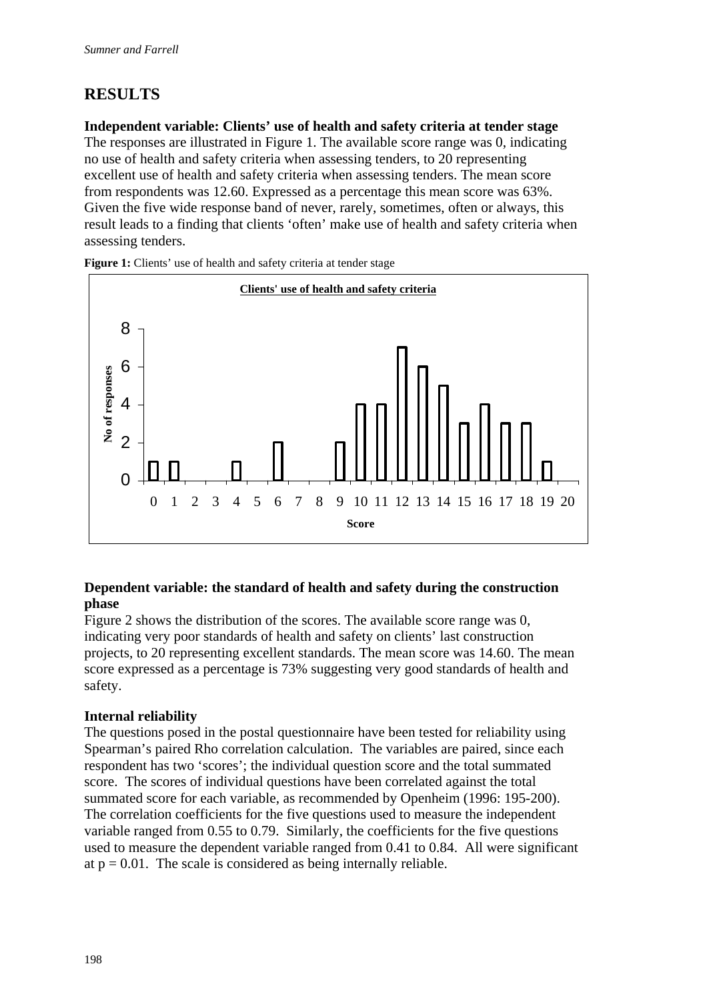## **RESULTS**

**Independent variable: Clients' use of health and safety criteria at tender stage** 

The responses are illustrated in Figure 1. The available score range was 0, indicating no use of health and safety criteria when assessing tenders, to 20 representing excellent use of health and safety criteria when assessing tenders. The mean score from respondents was 12.60. Expressed as a percentage this mean score was 63%. Given the five wide response band of never, rarely, sometimes, often or always, this result leads to a finding that clients 'often' make use of health and safety criteria when assessing tenders.



**Figure 1:** Clients' use of health and safety criteria at tender stage

#### **Dependent variable: the standard of health and safety during the construction phase**

Figure 2 shows the distribution of the scores. The available score range was 0, indicating very poor standards of health and safety on clients' last construction projects, to 20 representing excellent standards. The mean score was 14.60. The mean score expressed as a percentage is 73% suggesting very good standards of health and safety.

#### **Internal reliability**

The questions posed in the postal questionnaire have been tested for reliability using Spearman's paired Rho correlation calculation. The variables are paired, since each respondent has two 'scores'; the individual question score and the total summated score. The scores of individual questions have been correlated against the total summated score for each variable, as recommended by Openheim (1996: 195-200). The correlation coefficients for the five questions used to measure the independent variable ranged from 0.55 to 0.79. Similarly, the coefficients for the five questions used to measure the dependent variable ranged from 0.41 to 0.84. All were significant at  $p = 0.01$ . The scale is considered as being internally reliable.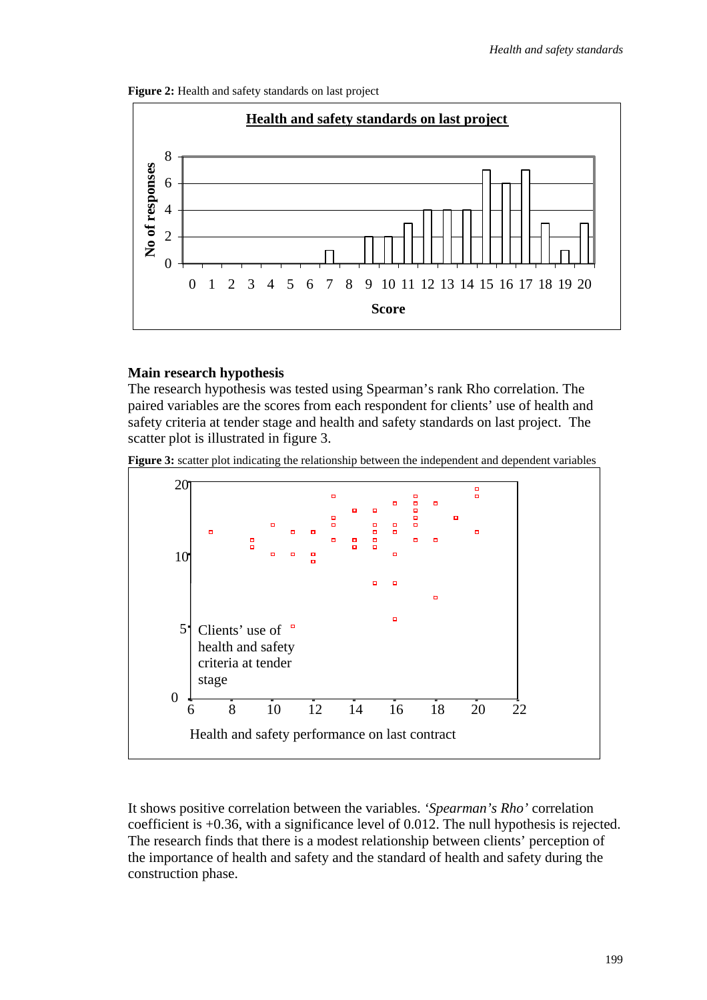Figure 2: Health and safety standards on last project



#### **Main research hypothesis**

The research hypothesis was tested using Spearman's rank Rho correlation. The paired variables are the scores from each respondent for clients' use of health and safety criteria at tender stage and health and safety standards on last project. The scatter plot is illustrated in figure 3.

Figure 3: scatter plot indicating the relationship between the independent and dependent variables



It shows positive correlation between the variables. *'Spearman's Rho'* correlation coefficient is +0.36, with a significance level of 0.012. The null hypothesis is rejected. The research finds that there is a modest relationship between clients' perception of the importance of health and safety and the standard of health and safety during the construction phase.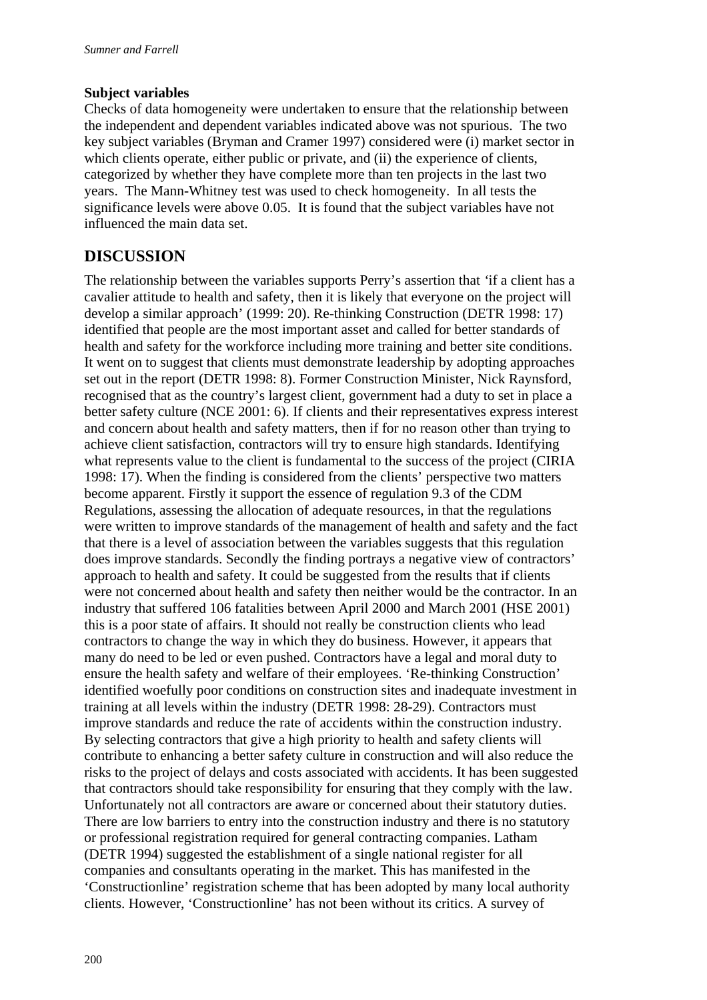#### **Subject variables**

Checks of data homogeneity were undertaken to ensure that the relationship between the independent and dependent variables indicated above was not spurious. The two key subject variables (Bryman and Cramer 1997) considered were (i) market sector in which clients operate, either public or private, and (ii) the experience of clients, categorized by whether they have complete more than ten projects in the last two years. The Mann-Whitney test was used to check homogeneity. In all tests the significance levels were above 0.05. It is found that the subject variables have not influenced the main data set.

## **DISCUSSION**

The relationship between the variables supports Perry's assertion that *'*if a client has a cavalier attitude to health and safety, then it is likely that everyone on the project will develop a similar approach' (1999: 20). Re-thinking Construction (DETR 1998: 17) identified that people are the most important asset and called for better standards of health and safety for the workforce including more training and better site conditions. It went on to suggest that clients must demonstrate leadership by adopting approaches set out in the report (DETR 1998: 8). Former Construction Minister, Nick Raynsford, recognised that as the country's largest client, government had a duty to set in place a better safety culture (NCE 2001: 6). If clients and their representatives express interest and concern about health and safety matters, then if for no reason other than trying to achieve client satisfaction, contractors will try to ensure high standards. Identifying what represents value to the client is fundamental to the success of the project (CIRIA 1998: 17). When the finding is considered from the clients' perspective two matters become apparent. Firstly it support the essence of regulation 9.3 of the CDM Regulations, assessing the allocation of adequate resources, in that the regulations were written to improve standards of the management of health and safety and the fact that there is a level of association between the variables suggests that this regulation does improve standards. Secondly the finding portrays a negative view of contractors' approach to health and safety. It could be suggested from the results that if clients were not concerned about health and safety then neither would be the contractor. In an industry that suffered 106 fatalities between April 2000 and March 2001 (HSE 2001) this is a poor state of affairs. It should not really be construction clients who lead contractors to change the way in which they do business. However, it appears that many do need to be led or even pushed. Contractors have a legal and moral duty to ensure the health safety and welfare of their employees. 'Re-thinking Construction' identified woefully poor conditions on construction sites and inadequate investment in training at all levels within the industry (DETR 1998: 28-29). Contractors must improve standards and reduce the rate of accidents within the construction industry. By selecting contractors that give a high priority to health and safety clients will contribute to enhancing a better safety culture in construction and will also reduce the risks to the project of delays and costs associated with accidents. It has been suggested that contractors should take responsibility for ensuring that they comply with the law. Unfortunately not all contractors are aware or concerned about their statutory duties. There are low barriers to entry into the construction industry and there is no statutory or professional registration required for general contracting companies. Latham (DETR 1994) suggested the establishment of a single national register for all companies and consultants operating in the market. This has manifested in the 'Constructionline' registration scheme that has been adopted by many local authority clients. However, 'Constructionline' has not been without its critics. A survey of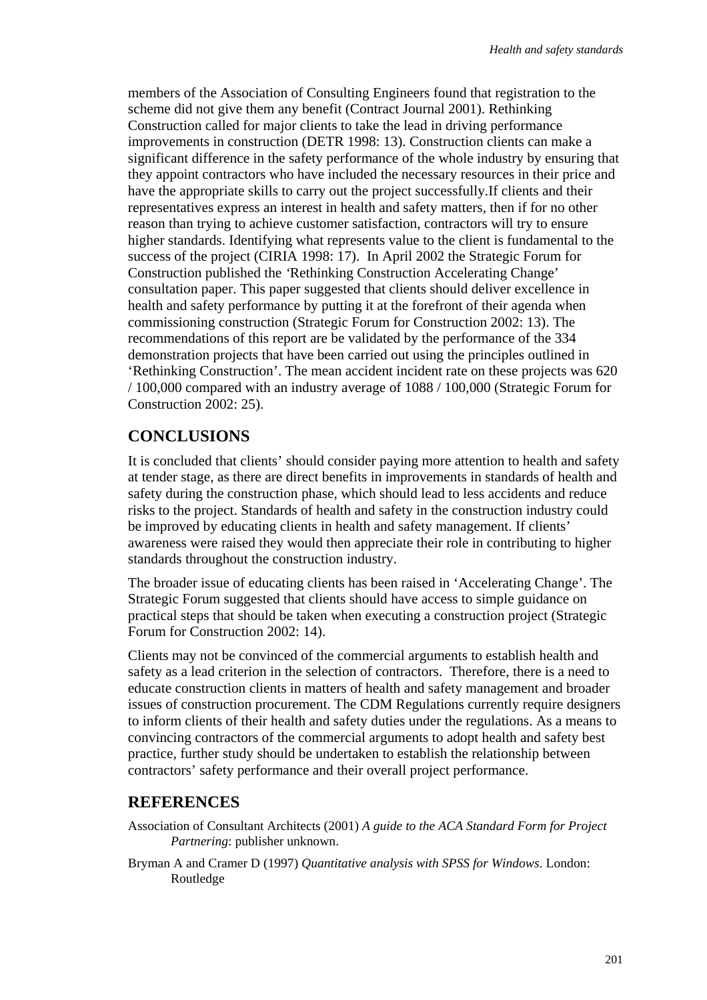members of the Association of Consulting Engineers found that registration to the scheme did not give them any benefit (Contract Journal 2001). Rethinking Construction called for major clients to take the lead in driving performance improvements in construction (DETR 1998: 13). Construction clients can make a significant difference in the safety performance of the whole industry by ensuring that they appoint contractors who have included the necessary resources in their price and have the appropriate skills to carry out the project successfully.If clients and their representatives express an interest in health and safety matters, then if for no other reason than trying to achieve customer satisfaction, contractors will try to ensure higher standards. Identifying what represents value to the client is fundamental to the success of the project (CIRIA 1998: 17). In April 2002 the Strategic Forum for Construction published the *'*Rethinking Construction Accelerating Change' consultation paper. This paper suggested that clients should deliver excellence in health and safety performance by putting it at the forefront of their agenda when commissioning construction (Strategic Forum for Construction 2002: 13). The recommendations of this report are be validated by the performance of the 334 demonstration projects that have been carried out using the principles outlined in 'Rethinking Construction'. The mean accident incident rate on these projects was 620 / 100,000 compared with an industry average of 1088 / 100,000 (Strategic Forum for Construction 2002: 25).

## **CONCLUSIONS**

It is concluded that clients' should consider paying more attention to health and safety at tender stage, as there are direct benefits in improvements in standards of health and safety during the construction phase, which should lead to less accidents and reduce risks to the project. Standards of health and safety in the construction industry could be improved by educating clients in health and safety management. If clients' awareness were raised they would then appreciate their role in contributing to higher standards throughout the construction industry.

The broader issue of educating clients has been raised in 'Accelerating Change'. The Strategic Forum suggested that clients should have access to simple guidance on practical steps that should be taken when executing a construction project (Strategic Forum for Construction 2002: 14).

Clients may not be convinced of the commercial arguments to establish health and safety as a lead criterion in the selection of contractors. Therefore, there is a need to educate construction clients in matters of health and safety management and broader issues of construction procurement. The CDM Regulations currently require designers to inform clients of their health and safety duties under the regulations. As a means to convincing contractors of the commercial arguments to adopt health and safety best practice, further study should be undertaken to establish the relationship between contractors' safety performance and their overall project performance.

## **REFERENCES**

- Association of Consultant Architects (2001) *A guide to the ACA Standard Form for Project Partnering*: publisher unknown.
- Bryman A and Cramer D (1997) *Quantitative analysis with SPSS for Windows*. London: Routledge